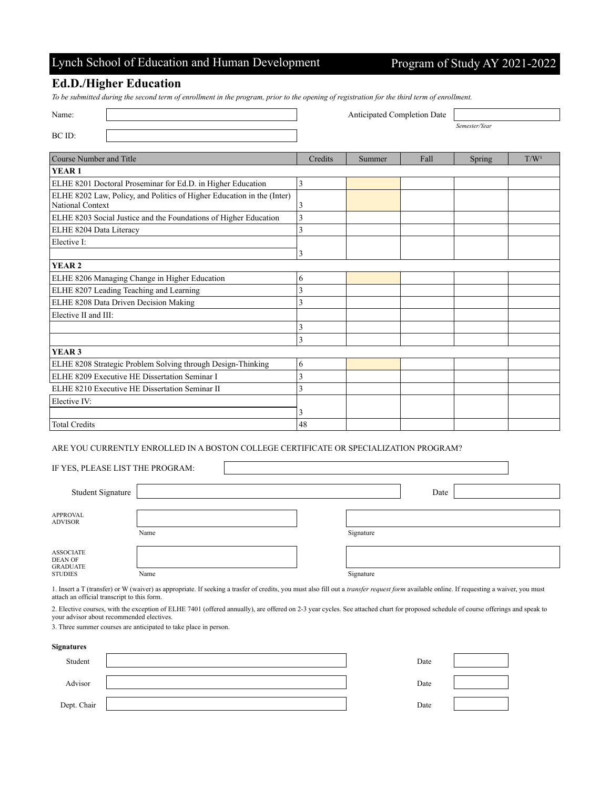## Lynch School of Education and Human Development Program of Study AY 2021-2022

### **Ed.D./Higher Education**

*To be submitted during the second term of enrollment in the program, prior to the opening of registration for the third term of enrollment.*

| Name:                                                                                      |         | Anticipated Completion Date |      |               |                  |
|--------------------------------------------------------------------------------------------|---------|-----------------------------|------|---------------|------------------|
|                                                                                            |         |                             |      | Semester/Year |                  |
| BC ID:                                                                                     |         |                             |      |               |                  |
| Course Number and Title                                                                    | Credits | Summer                      | Fall | Spring        | T/W <sup>1</sup> |
| YEAR <sub>1</sub>                                                                          |         |                             |      |               |                  |
| ELHE 8201 Doctoral Proseminar for Ed.D. in Higher Education                                | 3       |                             |      |               |                  |
| ELHE 8202 Law, Policy, and Politics of Higher Education in the (Inter)<br>National Context | 3       |                             |      |               |                  |
| ELHE 8203 Social Justice and the Foundations of Higher Education                           | 3       |                             |      |               |                  |
| ELHE 8204 Data Literacy                                                                    | 3       |                             |      |               |                  |
| Elective I:                                                                                |         |                             |      |               |                  |
|                                                                                            | 3       |                             |      |               |                  |
| YEAR <sub>2</sub>                                                                          |         |                             |      |               |                  |
| ELHE 8206 Managing Change in Higher Education                                              | 6       |                             |      |               |                  |
| ELHE 8207 Leading Teaching and Learning                                                    | 3       |                             |      |               |                  |
| ELHE 8208 Data Driven Decision Making                                                      | 3       |                             |      |               |                  |
| Elective II and III:                                                                       |         |                             |      |               |                  |
|                                                                                            | 3       |                             |      |               |                  |
|                                                                                            | 3       |                             |      |               |                  |
| YEAR <sub>3</sub>                                                                          |         |                             |      |               |                  |
| ELHE 8208 Strategic Problem Solving through Design-Thinking                                | 6       |                             |      |               |                  |
| ELHE 8209 Executive HE Dissertation Seminar I                                              | 3       |                             |      |               |                  |
| ELHE 8210 Executive HE Dissertation Seminar II                                             | 3       |                             |      |               |                  |
| Elective IV:                                                                               |         |                             |      |               |                  |
|                                                                                            | 3       |                             |      |               |                  |
| <b>Total Credits</b>                                                                       | 48      |                             |      |               |                  |

#### ARE YOU CURRENTLY ENROLLED IN A BOSTON COLLEGE CERTIFICATE OR SPECIALIZATION PROGRAM?

| IF YES, PLEASE LIST THE PROGRAM:                                        |      |           |  |
|-------------------------------------------------------------------------|------|-----------|--|
| Student Signature                                                       |      | Date      |  |
| <b>APPROVAL</b><br><b>ADVISOR</b>                                       | Name | Signature |  |
| <b>ASSOCIATE</b><br><b>DEAN OF</b><br><b>GRADUATE</b><br><b>STUDIES</b> | Name | Signature |  |

1. Insert a T (transfer) or W (waiver) as appropriate. If seeking a trasfer of credits, you must also fill out a *transfer request form* available online. If requesting a waiver, you must attach an official transcript to this form.

2. Elective courses, with the exception of ELHE 7401 (offered annually), are offered on 2-3 year cycles. See attached chart for proposed schedule of course offerings and speak to your advisor about recommended electives.

3. Three summer courses are anticipated to take place in person.

| Signatures  |      |  |
|-------------|------|--|
| Student     | Date |  |
| Advisor     | Date |  |
| Dept. Chair | Date |  |